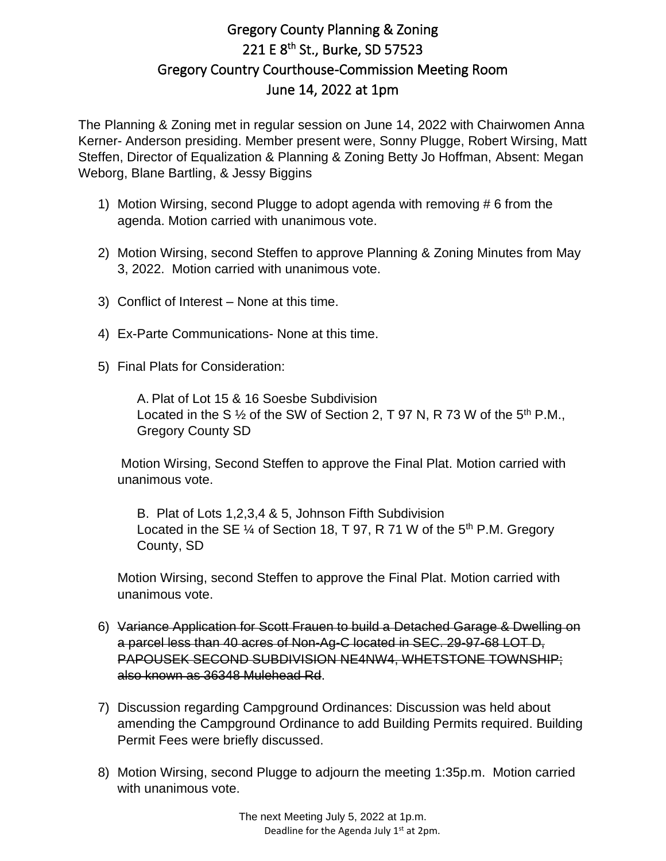## Gregory County Planning & Zoning 221 E 8<sup>th</sup> St., Burke, SD 57523 Gregory Country Courthouse-Commission Meeting Room June 14, 2022 at 1pm

The Planning & Zoning met in regular session on June 14, 2022 with Chairwomen Anna Kerner- Anderson presiding. Member present were, Sonny Plugge, Robert Wirsing, Matt Steffen, Director of Equalization & Planning & Zoning Betty Jo Hoffman, Absent: Megan Weborg, Blane Bartling, & Jessy Biggins

- 1) Motion Wirsing, second Plugge to adopt agenda with removing # 6 from the agenda. Motion carried with unanimous vote.
- 2) Motion Wirsing, second Steffen to approve Planning & Zoning Minutes from May 3, 2022. Motion carried with unanimous vote.
- 3) Conflict of Interest None at this time.
- 4) Ex-Parte Communications- None at this time.
- 5) Final Plats for Consideration:

A. Plat of Lot 15 & 16 Soesbe Subdivision Located in the S  $\frac{1}{2}$  of the SW of Section 2, T 97 N, R 73 W of the 5<sup>th</sup> P.M., Gregory County SD

Motion Wirsing, Second Steffen to approve the Final Plat. Motion carried with unanimous vote.

B. Plat of Lots 1,2,3,4 & 5, Johnson Fifth Subdivision Located in the SE  $\frac{1}{4}$  of Section 18, T 97, R 71 W of the 5<sup>th</sup> P.M. Gregory County, SD

Motion Wirsing, second Steffen to approve the Final Plat. Motion carried with unanimous vote.

- 6) Variance Application for Scott Frauen to build a Detached Garage & Dwelling on a parcel less than 40 acres of Non-Ag-C located in SEC. 29-97-68 LOT D, PAPOUSEK SECOND SUBDIVISION NE4NW4, WHETSTONE TOWNSHIP; also known as 36348 Mulehead Rd.
- 7) Discussion regarding Campground Ordinances: Discussion was held about amending the Campground Ordinance to add Building Permits required. Building Permit Fees were briefly discussed.
- 8) Motion Wirsing, second Plugge to adjourn the meeting 1:35p.m. Motion carried with unanimous vote.